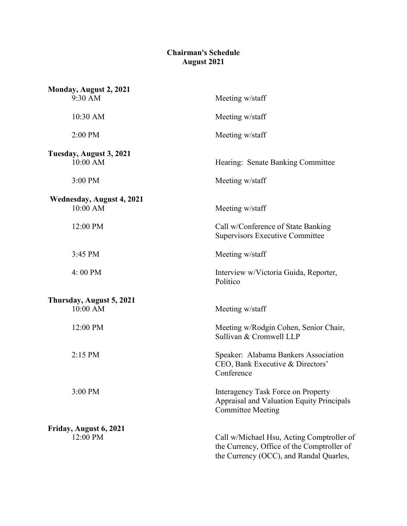## **Chairman's Schedule August 2021**

| Monday, August 2, 2021                       |                                                                                                                                    |
|----------------------------------------------|------------------------------------------------------------------------------------------------------------------------------------|
| 9:30 AM                                      | Meeting w/staff                                                                                                                    |
| 10:30 AM                                     | Meeting w/staff                                                                                                                    |
| 2:00 PM                                      | Meeting w/staff                                                                                                                    |
| Tuesday, August 3, 2021<br>10:00 AM          | Hearing: Senate Banking Committee                                                                                                  |
| 3:00 PM                                      | Meeting w/staff                                                                                                                    |
| <b>Wednesday, August 4, 2021</b><br>10:00 AM | Meeting w/staff                                                                                                                    |
| 12:00 PM                                     | Call w/Conference of State Banking<br><b>Supervisors Executive Committee</b>                                                       |
| 3:45 PM                                      | Meeting w/staff                                                                                                                    |
| 4:00 PM                                      | Interview w/Victoria Guida, Reporter,<br>Politico                                                                                  |
| Thursday, August 5, 2021                     |                                                                                                                                    |
| 10:00 AM                                     | Meeting w/staff                                                                                                                    |
| 12:00 PM                                     | Meeting w/Rodgin Cohen, Senior Chair,<br>Sullivan & Cromwell LLP                                                                   |
| $2:15$ PM                                    | Speaker: Alabama Bankers Association<br>CEO, Bank Executive & Directors'<br>Conference                                             |
| 3:00 PM                                      | <b>Interagency Task Force on Property</b><br>Appraisal and Valuation Equity Principals<br><b>Committee Meeting</b>                 |
| Friday, August 6, 2021                       |                                                                                                                                    |
| 12:00 PM                                     | Call w/Michael Hsu, Acting Comptroller of<br>the Currency, Office of the Comptroller of<br>the Currency (OCC), and Randal Quarles, |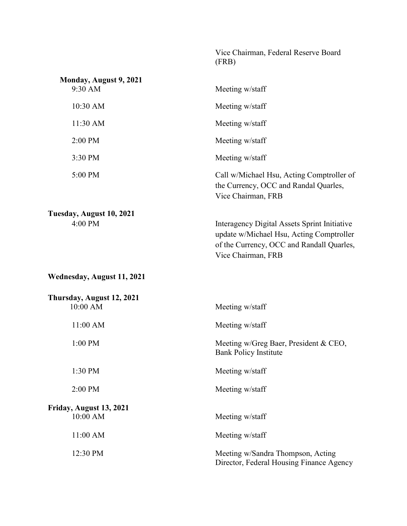|                                       | Vice Chairman, Federal Reserve Board<br>(FRB)                                                                                                               |
|---------------------------------------|-------------------------------------------------------------------------------------------------------------------------------------------------------------|
| Monday, August 9, 2021<br>9:30 AM     | Meeting w/staff                                                                                                                                             |
| 10:30 AM                              | Meeting w/staff                                                                                                                                             |
| 11:30 AM                              | Meeting w/staff                                                                                                                                             |
| 2:00 PM                               | Meeting w/staff                                                                                                                                             |
| 3:30 PM                               | Meeting w/staff                                                                                                                                             |
| 5:00 PM                               | Call w/Michael Hsu, Acting Comptroller of<br>the Currency, OCC and Randal Quarles,<br>Vice Chairman, FRB                                                    |
| Tuesday, August 10, 2021<br>4:00 PM   | Interagency Digital Assets Sprint Initiative<br>update w/Michael Hsu, Acting Comptroller<br>of the Currency, OCC and Randall Quarles,<br>Vice Chairman, FRB |
| Wednesday, August 11, 2021            |                                                                                                                                                             |
| Thursday, August 12, 2021<br>10:00 AM | Meeting w/staff                                                                                                                                             |
| 11:00 AM                              | Meeting w/staff                                                                                                                                             |
| $1:00$ PM                             | Meeting w/Greg Baer, President & CEO,<br><b>Bank Policy Institute</b>                                                                                       |
| 1:30 PM                               | Meeting w/staff                                                                                                                                             |
| 2:00 PM                               | Meeting w/staff                                                                                                                                             |
| Friday, August 13, 2021<br>10:00 AM   | Meeting w/staff                                                                                                                                             |
| 11:00 AM                              | Meeting w/staff                                                                                                                                             |
| 12:30 PM                              | Meeting w/Sandra Thompson, Acting<br>Director, Federal Housing Finance Agency                                                                               |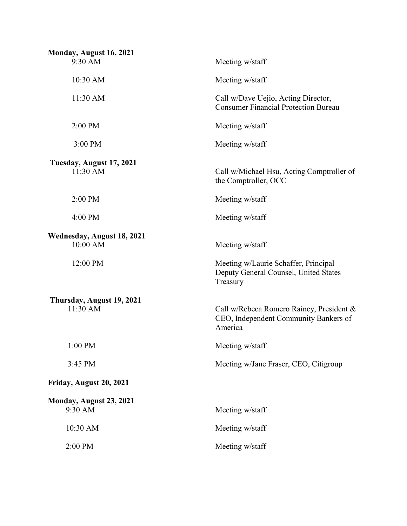| Monday, August 16, 2021<br>9:30 AM     | Meeting w/staff                                                                              |
|----------------------------------------|----------------------------------------------------------------------------------------------|
| 10:30 AM                               | Meeting w/staff                                                                              |
| 11:30 AM                               | Call w/Dave Uejio, Acting Director,<br><b>Consumer Financial Protection Bureau</b>           |
| 2:00 PM                                | Meeting w/staff                                                                              |
| 3:00 PM                                | Meeting w/staff                                                                              |
| Tuesday, August 17, 2021<br>11:30 AM   | Call w/Michael Hsu, Acting Comptroller of<br>the Comptroller, OCC                            |
| 2:00 PM                                | Meeting w/staff                                                                              |
| 4:00 PM                                | Meeting w/staff                                                                              |
| Wednesday, August 18, 2021<br>10:00 AM | Meeting w/staff                                                                              |
| 12:00 PM                               | Meeting w/Laurie Schaffer, Principal<br>Deputy General Counsel, United States<br>Treasury    |
| Thursday, August 19, 2021              |                                                                                              |
| 11:30 AM                               | Call w/Rebeca Romero Rainey, President &<br>CEO, Independent Community Bankers of<br>America |
| 1:00 PM                                | Meeting w/staff                                                                              |
| 3:45 PM                                | Meeting w/Jane Fraser, CEO, Citigroup                                                        |
| Friday, August 20, 2021                |                                                                                              |
| Monday, August 23, 2021                |                                                                                              |
| 9:30 AM                                | Meeting w/staff                                                                              |
| 10:30 AM                               | Meeting w/staff                                                                              |
| 2:00 PM                                | Meeting w/staff                                                                              |